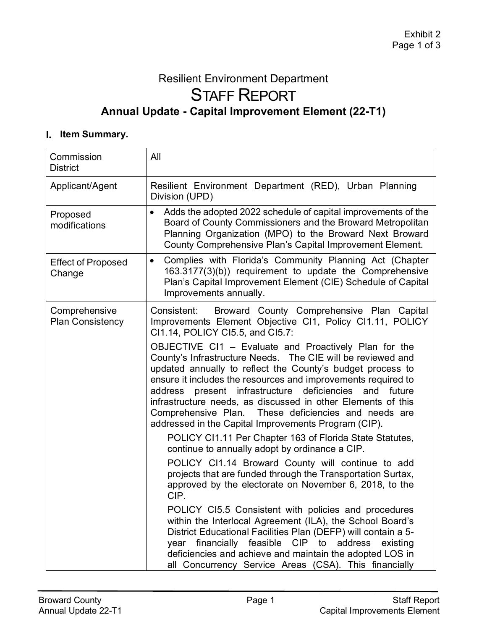# Resilient Environment Department STAFF REPORT **Annual Update - Capital Improvement Element (22-T1)**

### **I.** Item Summary.

| Commission<br><b>District</b>            | All                                                                                                                                                                                                                                                                                                                                                                                                                                                                                                                                                                                                                                                                 |
|------------------------------------------|---------------------------------------------------------------------------------------------------------------------------------------------------------------------------------------------------------------------------------------------------------------------------------------------------------------------------------------------------------------------------------------------------------------------------------------------------------------------------------------------------------------------------------------------------------------------------------------------------------------------------------------------------------------------|
| Applicant/Agent                          | Resilient Environment Department (RED), Urban Planning<br>Division (UPD)                                                                                                                                                                                                                                                                                                                                                                                                                                                                                                                                                                                            |
| Proposed<br>modifications                | Adds the adopted 2022 schedule of capital improvements of the<br>$\bullet$<br>Board of County Commissioners and the Broward Metropolitan<br>Planning Organization (MPO) to the Broward Next Broward<br>County Comprehensive Plan's Capital Improvement Element.                                                                                                                                                                                                                                                                                                                                                                                                     |
| <b>Effect of Proposed</b><br>Change      | Complies with Florida's Community Planning Act (Chapter<br>$\bullet$<br>163.3177(3)(b)) requirement to update the Comprehensive<br>Plan's Capital Improvement Element (CIE) Schedule of Capital<br>Improvements annually.                                                                                                                                                                                                                                                                                                                                                                                                                                           |
| Comprehensive<br><b>Plan Consistency</b> | Broward County Comprehensive Plan Capital<br>Consistent:<br>Improvements Element Objective CI1, Policy CI1.11, POLICY<br>CI1.14, POLICY CI5.5, and CI5.7:                                                                                                                                                                                                                                                                                                                                                                                                                                                                                                           |
|                                          | OBJECTIVE CI1 - Evaluate and Proactively Plan for the<br>County's Infrastructure Needs. The CIE will be reviewed and<br>updated annually to reflect the County's budget process to<br>ensure it includes the resources and improvements required to<br>address present infrastructure deficiencies<br>and future<br>infrastructure needs, as discussed in other Elements of this<br>Comprehensive Plan. These deficiencies and needs are<br>addressed in the Capital Improvements Program (CIP).<br>POLICY CI1.11 Per Chapter 163 of Florida State Statutes,<br>continue to annually adopt by ordinance a CIP.<br>POLICY CI1.14 Broward County will continue to add |
|                                          | projects that are funded through the Transportation Surtax,<br>approved by the electorate on November 6, 2018, to the<br>CIP.                                                                                                                                                                                                                                                                                                                                                                                                                                                                                                                                       |
|                                          | POLICY CI5.5 Consistent with policies and procedures<br>within the Interlocal Agreement (ILA), the School Board's<br>District Educational Facilities Plan (DEFP) will contain a 5-<br>year financially feasible CIP to address<br>existing<br>deficiencies and achieve and maintain the adopted LOS in<br>all Concurrency Service Areas (CSA). This financially                                                                                                                                                                                                                                                                                                     |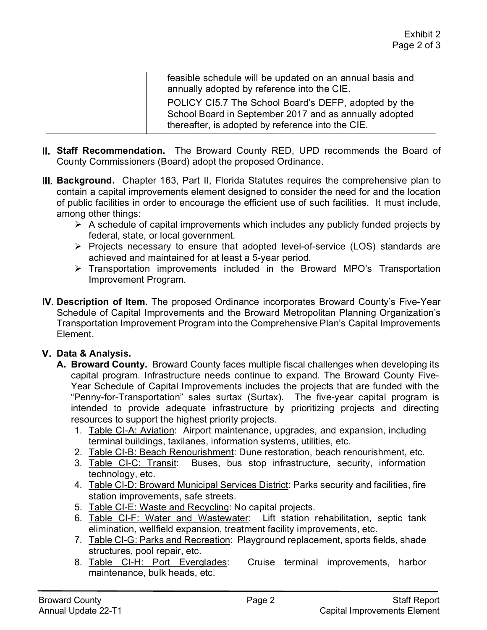| feasible schedule will be updated on an annual basis and<br>annually adopted by reference into the CIE.                                                             |
|---------------------------------------------------------------------------------------------------------------------------------------------------------------------|
| POLICY CI5.7 The School Board's DEFP, adopted by the<br>School Board in September 2017 and as annually adopted<br>thereafter, is adopted by reference into the CIE. |

- **Staff Recommendation.** The Broward County RED, UPD recommends the Board of County Commissioners (Board) adopt the proposed Ordinance.
- **Background.** Chapter 163, Part II, Florida Statutes requires the comprehensive plan to contain a capital improvements element designed to consider the need for and the location of public facilities in order to encourage the efficient use of such facilities. It must include, among other things:
	- $\triangleright$  A schedule of capital improvements which includes any publicly funded projects by federal, state, or local government.
	- $\triangleright$  Projects necessary to ensure that adopted level-of-service (LOS) standards are achieved and maintained for at least a 5-year period.
	- Transportation improvements included in the Broward MPO's Transportation Improvement Program.
- **Description of Item.** The proposed Ordinance incorporates Broward County's Five-Year Schedule of Capital Improvements and the Broward Metropolitan Planning Organization's Transportation Improvement Program into the Comprehensive Plan's Capital Improvements Element.

## **Data & Analysis.**

- **A. Broward County.** Broward County faces multiple fiscal challenges when developing its capital program. Infrastructure needs continue to expand. The Broward County Five-Year Schedule of Capital Improvements includes the projects that are funded with the "Penny-for-Transportation" sales surtax (Surtax). The five-year capital program is intended to provide adequate infrastructure by prioritizing projects and directing resources to support the highest priority projects.
	- 1. Table CI-A: Aviation: Airport maintenance, upgrades, and expansion, including terminal buildings, taxilanes, information systems, utilities, etc.
	- 2. Table CI-B: Beach Renourishment: Dune restoration, beach renourishment, etc.
	- 3. Table CI-C: Transit: Buses, bus stop infrastructure, security, information technology, etc.
	- 4. Table CI-D: Broward Municipal Services District: Parks security and facilities, fire station improvements, safe streets.
	- 5. Table CI-E: Waste and Recycling: No capital projects.
	- 6. Table CI-F: Water and Wastewater: Lift station rehabilitation, septic tank elimination, wellfield expansion, treatment facility improvements, etc.
	- 7. Table CI-G: Parks and Recreation: Playground replacement, sports fields, shade structures, pool repair, etc.
	- 8. Table CI-H: Port Everglades: Cruise terminal improvements, harbor maintenance, bulk heads, etc.